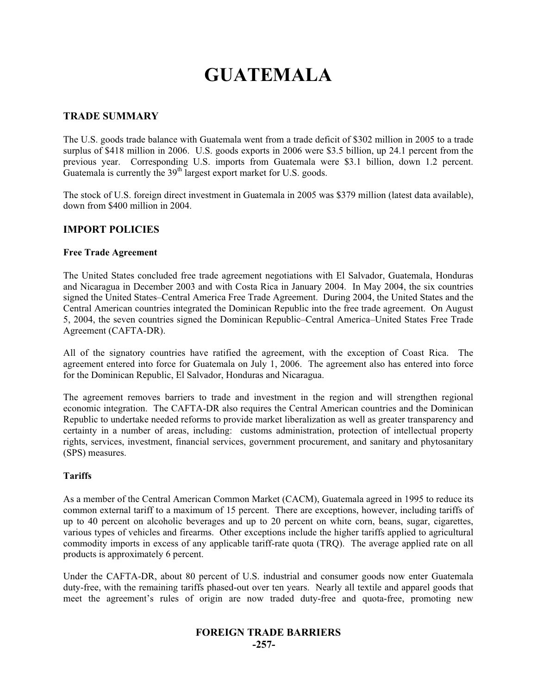# **GUATEMALA**

#### **TRADE SUMMARY**

The U.S. goods trade balance with Guatemala went from a trade deficit of \$302 million in 2005 to a trade surplus of \$418 million in 2006. U.S. goods exports in 2006 were \$3.5 billion, up 24.1 percent from the previous year. Corresponding U.S. imports from Guatemala were \$3.1 billion, down 1.2 percent. Guatemala is currently the  $39<sup>th</sup>$  largest export market for U.S. goods.

The stock of U.S. foreign direct investment in Guatemala in 2005 was \$379 million (latest data available), down from \$400 million in 2004.

#### **IMPORT POLICIES**

#### **Free Trade Agreement**

The United States concluded free trade agreement negotiations with El Salvador, Guatemala, Honduras and Nicaragua in December 2003 and with Costa Rica in January 2004. In May 2004, the six countries signed the United States–Central America Free Trade Agreement. During 2004, the United States and the Central American countries integrated the Dominican Republic into the free trade agreement. On August 5, 2004, the seven countries signed the Dominican Republic–Central America–United States Free Trade Agreement (CAFTA-DR).

All of the signatory countries have ratified the agreement, with the exception of Coast Rica. The agreement entered into force for Guatemala on July 1, 2006. The agreement also has entered into force for the Dominican Republic, El Salvador, Honduras and Nicaragua.

The agreement removes barriers to trade and investment in the region and will strengthen regional economic integration. The CAFTA-DR also requires the Central American countries and the Dominican Republic to undertake needed reforms to provide market liberalization as well as greater transparency and certainty in a number of areas, including: customs administration, protection of intellectual property rights, services, investment, financial services, government procurement, and sanitary and phytosanitary (SPS) measures.

#### **Tariffs**

As a member of the Central American Common Market (CACM), Guatemala agreed in 1995 to reduce its common external tariff to a maximum of 15 percent. There are exceptions, however, including tariffs of up to 40 percent on alcoholic beverages and up to 20 percent on white corn, beans, sugar, cigarettes, various types of vehicles and firearms. Other exceptions include the higher tariffs applied to agricultural commodity imports in excess of any applicable tariff-rate quota (TRQ). The average applied rate on all products is approximately 6 percent.

Under the CAFTA-DR, about 80 percent of U.S. industrial and consumer goods now enter Guatemala duty-free, with the remaining tariffs phased-out over ten years. Nearly all textile and apparel goods that meet the agreement's rules of origin are now traded duty-free and quota-free, promoting new

## **FOREIGN TRADE BARRIERS**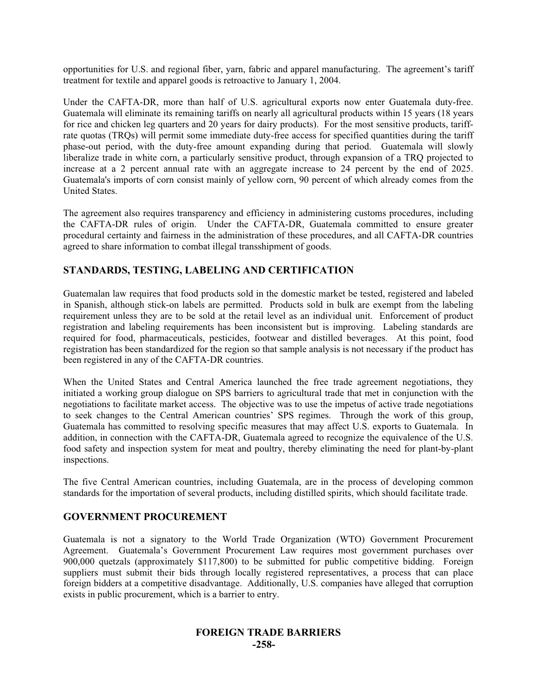opportunities for U.S. and regional fiber, yarn, fabric and apparel manufacturing. The agreement's tariff treatment for textile and apparel goods is retroactive to January 1, 2004.

Under the CAFTA-DR, more than half of U.S. agricultural exports now enter Guatemala duty-free. Guatemala will eliminate its remaining tariffs on nearly all agricultural products within 15 years (18 years for rice and chicken leg quarters and 20 years for dairy products). For the most sensitive products, tariffrate quotas (TRQs) will permit some immediate duty-free access for specified quantities during the tariff phase-out period, with the duty-free amount expanding during that period. Guatemala will slowly liberalize trade in white corn, a particularly sensitive product, through expansion of a TRQ projected to increase at a 2 percent annual rate with an aggregate increase to 24 percent by the end of 2025. Guatemala's imports of corn consist mainly of yellow corn, 90 percent of which already comes from the United States.

The agreement also requires transparency and efficiency in administering customs procedures, including the CAFTA-DR rules of origin. Under the CAFTA-DR, Guatemala committed to ensure greater procedural certainty and fairness in the administration of these procedures, and all CAFTA-DR countries agreed to share information to combat illegal transshipment of goods.

# **STANDARDS, TESTING, LABELING AND CERTIFICATION**

Guatemalan law requires that food products sold in the domestic market be tested, registered and labeled in Spanish, although stick-on labels are permitted. Products sold in bulk are exempt from the labeling requirement unless they are to be sold at the retail level as an individual unit. Enforcement of product registration and labeling requirements has been inconsistent but is improving. Labeling standards are required for food, pharmaceuticals, pesticides, footwear and distilled beverages. At this point, food registration has been standardized for the region so that sample analysis is not necessary if the product has been registered in any of the CAFTA-DR countries.

When the United States and Central America launched the free trade agreement negotiations, they initiated a working group dialogue on SPS barriers to agricultural trade that met in conjunction with the negotiations to facilitate market access. The objective was to use the impetus of active trade negotiations to seek changes to the Central American countries' SPS regimes. Through the work of this group, Guatemala has committed to resolving specific measures that may affect U.S. exports to Guatemala. In addition, in connection with the CAFTA-DR, Guatemala agreed to recognize the equivalence of the U.S. food safety and inspection system for meat and poultry, thereby eliminating the need for plant-by-plant inspections.

The five Central American countries, including Guatemala, are in the process of developing common standards for the importation of several products, including distilled spirits, which should facilitate trade.

## **GOVERNMENT PROCUREMENT**

Guatemala is not a signatory to the World Trade Organization (WTO) Government Procurement Agreement. Guatemala's Government Procurement Law requires most government purchases over 900,000 quetzals (approximately \$117,800) to be submitted for public competitive bidding. Foreign suppliers must submit their bids through locally registered representatives, a process that can place foreign bidders at a competitive disadvantage. Additionally, U.S. companies have alleged that corruption exists in public procurement, which is a barrier to entry.

## **FOREIGN TRADE BARRIERS -258-**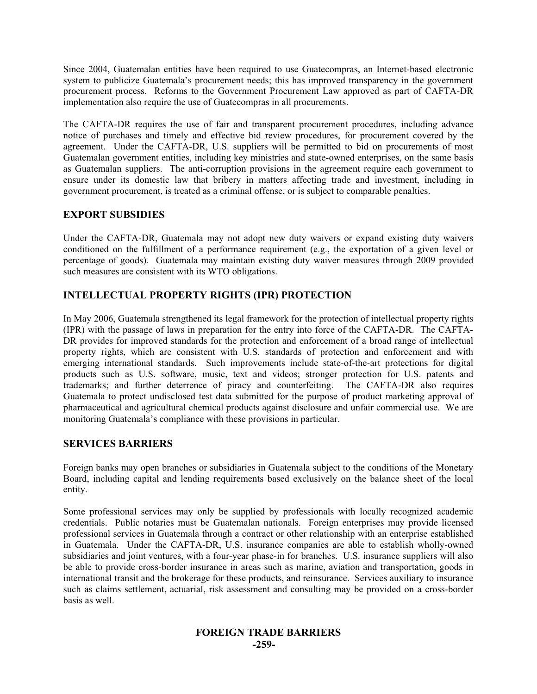Since 2004, Guatemalan entities have been required to use Guatecompras, an Internet-based electronic system to publicize Guatemala's procurement needs; this has improved transparency in the government procurement process. Reforms to the Government Procurement Law approved as part of CAFTA-DR implementation also require the use of Guatecompras in all procurements.

The CAFTA-DR requires the use of fair and transparent procurement procedures, including advance notice of purchases and timely and effective bid review procedures, for procurement covered by the agreement. Under the CAFTA-DR, U.S. suppliers will be permitted to bid on procurements of most Guatemalan government entities, including key ministries and state-owned enterprises, on the same basis as Guatemalan suppliers. The anti-corruption provisions in the agreement require each government to ensure under its domestic law that bribery in matters affecting trade and investment, including in government procurement, is treated as a criminal offense, or is subject to comparable penalties.

## **EXPORT SUBSIDIES**

Under the CAFTA-DR, Guatemala may not adopt new duty waivers or expand existing duty waivers conditioned on the fulfillment of a performance requirement (e.g., the exportation of a given level or percentage of goods). Guatemala may maintain existing duty waiver measures through 2009 provided such measures are consistent with its WTO obligations.

## **INTELLECTUAL PROPERTY RIGHTS (IPR) PROTECTION**

In May 2006, Guatemala strengthened its legal framework for the protection of intellectual property rights (IPR) with the passage of laws in preparation for the entry into force of the CAFTA-DR. The CAFTA-DR provides for improved standards for the protection and enforcement of a broad range of intellectual property rights, which are consistent with U.S. standards of protection and enforcement and with emerging international standards. Such improvements include state-of-the-art protections for digital products such as U.S. software, music, text and videos; stronger protection for U.S. patents and trademarks; and further deterrence of piracy and counterfeiting. The CAFTA-DR also requires trademarks; and further deterrence of piracy and counterfeiting. Guatemala to protect undisclosed test data submitted for the purpose of product marketing approval of pharmaceutical and agricultural chemical products against disclosure and unfair commercial use. We are monitoring Guatemala's compliance with these provisions in particular.

## **SERVICES BARRIERS**

Foreign banks may open branches or subsidiaries in Guatemala subject to the conditions of the Monetary Board, including capital and lending requirements based exclusively on the balance sheet of the local entity.

Some professional services may only be supplied by professionals with locally recognized academic credentials. Public notaries must be Guatemalan nationals. Foreign enterprises may provide licensed professional services in Guatemala through a contract or other relationship with an enterprise established in Guatemala. Under the CAFTA-DR, U.S. insurance companies are able to establish wholly-owned subsidiaries and joint ventures, with a four-year phase-in for branches. U.S. insurance suppliers will also be able to provide cross-border insurance in areas such as marine, aviation and transportation, goods in international transit and the brokerage for these products, and reinsurance. Services auxiliary to insurance such as claims settlement, actuarial, risk assessment and consulting may be provided on a cross-border basis as well.

#### **FOREIGN TRADE BARRIERS -259-**